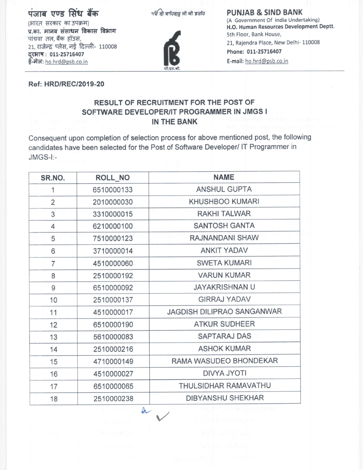# पंजाब एण्ड सिंध बैंक

੧ਓ ਸ੍ਰੀ ਵਾਹਿਗੁਰੂ ਜੀ ਕੀ ਫ਼ਤਹਿ



#### **PUNJAB & SIND BANK** (A Government Of India Undertaking) H.O. Human Resources Development Deptt. 5th Floor, Bank House, 21, Rajendra Place, New Delhi- 110008 Phone: 011-25716407

E-mail: ho.hrd@psb.co.in

**Ref: HRD/REC/2019-20** 

### RESULT OF RECRUITMENT FOR THE POST OF SOFTWARE DEVELOPER/IT PROGRAMMER IN JMGS I IN THE BANK

Consequent upon completion of selection process for above mentioned post, the following candidates have been selected for the Post of Software Developer/ IT Programmer in JMGS-I:-

| SR.NO.         | ROLL NO    | <b>NAME</b>                |
|----------------|------------|----------------------------|
| 1              | 6510000133 | <b>ANSHUL GUPTA</b>        |
| $\overline{2}$ | 2010000030 | <b>KHUSHBOO KUMARI</b>     |
| 3              | 3310000015 | <b>RAKHI TALWAR</b>        |
| 4              | 6210000100 | <b>SANTOSH GANTA</b>       |
| 5              | 7510000123 | RAJNANDANI SHAW            |
| 6              | 3710000014 | <b>ANKIT YADAV</b>         |
| $\overline{7}$ | 4510000060 | <b>SWETA KUMARI</b>        |
| 8              | 2510000192 | <b>VARUN KUMAR</b>         |
| 9              | 6510000092 | <b>JAYAKRISHNAN U</b>      |
| 10             | 2510000137 | <b>GIRRAJ YADAV</b>        |
| 11             | 4510000017 | JAGDISH DILIPRAO SANGANWAR |
| 12             | 6510000190 | <b>ATKUR SUDHEER</b>       |
| 13             | 5610000083 | <b>SAPTARAJ DAS</b>        |
| 14             | 2510000216 | <b>ASHOK KUMAR</b>         |
| 15             | 4710000149 | RAMA WASUDEO BHONDEKAR     |
| 16             | 4510000027 | <b>DIVYA JYOTI</b>         |
| 17             | 6510000065 | THULSIDHAR RAMAVATHU       |
| 18             | 2510000238 | <b>DIBYANSHU SHEKHAR</b>   |